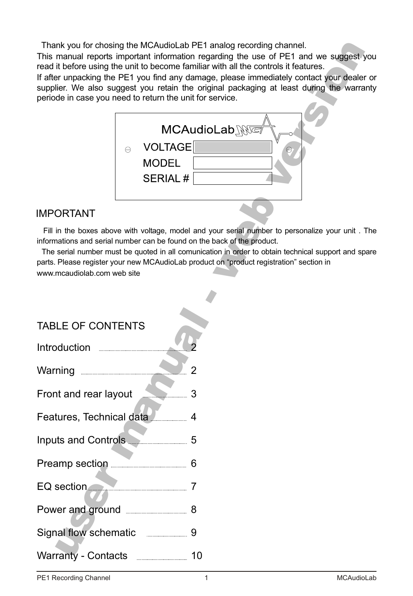Thank you for chosing the MCAudioLab PE1 analog recording channel.

This manual reports important information regarding the use of PE1 and we suggest you read it before using the unit to become familiar with all the controls it features.

If after unpacking the PE1 you find any damage, please immediately contact your dealer or supplier. We also suggest you retain the original packaging at least during the warranty periode in case you need to return the unit for service.



# IMPORTANT

 Fill in the boxes above with voltage, model and your serial number to personalize your unit . The informations and serial number can be found on the back of the product.

The serial number must be quoted in all comunication in order to obtain technical support and spare parts. Please register your new MCAudioLab product on "product registration" section in www.mcaudiolab.com web site

| <b>TABLE OF CONTENTS</b><br>Introduction                                                                                                                                                                                             |         |
|--------------------------------------------------------------------------------------------------------------------------------------------------------------------------------------------------------------------------------------|---------|
| Warning <b>with the Contract of Taylor Contract Contract Contract Contract Contract Contract Contract Contract Contract Contract Contract Contract Contract Contract Contract Contract Contract Contract Contract Contract Contr</b> |         |
| Front and rear layout 3<br>Features, Technical data                                                                                                                                                                                  |         |
| Inputs and Controls 5                                                                                                                                                                                                                |         |
| Preamp section <b>Figure</b> 2014<br>EQ section                                                                                                                                                                                      | 6<br>7  |
|                                                                                                                                                                                                                                      |         |
| Signal flow schematic<br>Warranty - Contacts                                                                                                                                                                                         | 9<br>10 |
|                                                                                                                                                                                                                                      |         |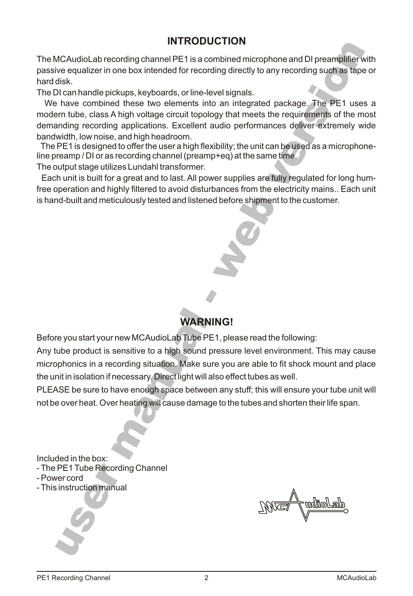# **INTRODUCTION**

The MCAudioLab recording channel PE1 is a combined microphone and DI preamplifier with passive equalizer in one box intended for recording directly to any recording such as tape or hard disk.

The DI can handle pickups, keyboards, or line-level signals.

**which the interpretation**<br>
whing directly to any recording such as tape or<br>
vel signals.<br>
b an integrated package. The PE1 uses a<br>
gy that meets the requirements of the most<br>
audio performances deliver extremely wide<br>
ibi We have combined these two elements into an integrated package. The PE1 uses a modern tube, class A high voltage circuit topology that meets the requirements of the most demanding recording applications. Excellent audio performances deliver extremely wide bandwidth, low noise, and high headroom.

 The PE1 is designed to offer the user a high flexibility; the unit can be used as a microphoneline preamp / DI or as recording channel (preamp+eq) at the same time.

The output stage utilizes Lundahl transformer.

 Each unit is built for a great and to last. All power supplies are fully regulated for long humfree operation and highly filtered to avoid disturbances from the electricity mains.. Each unit is hand-built and meticulously tested and listened before shipment to the customer.

# **WARNING!**

**-**

Before you start your new MCAudioLab Tube PE1, please read the following:

**WARNII**<br>
rnew MCAudioLab Tube PE1<br>
sensitive to a high sound precording situation. Make sure<br>
necessary. Direct light will als<br>
have enough space between<br>
er heating will cause damage Any tube product is sensitive to a high sound pressure level environment. This may cause microphonics in a recording situation. Make sure you are able to fit shock mount and place the unit in isolation if necessary. Direct light will also effect tubes as well.

PLEASE be sure to have enough space between any stuff; this will ensure your tube unit will not be over heat. Over heating will cause damage to the tubes and shorten their life span.

Included in the box:

**PE1 Tube Recording**<br>ver cord<br>instruction manual - The PE1 Tube Recording Channel

- Power cord
- This instruction manual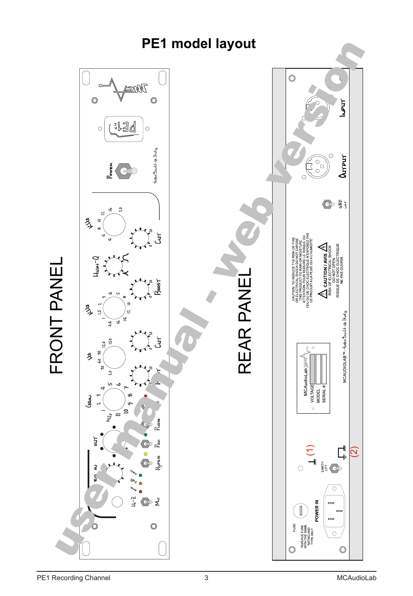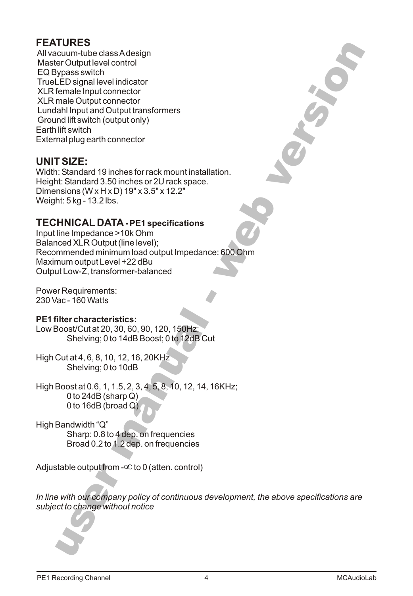# **FEATURES**

All vacuum-tube class A design Master Output level control EQ Bypass switch TrueLED signal level indicator XLR female Input connector XLR male Output connector Lundahl Input and Output transformers Ground lift switch (output only) Earth lift switch External plug earth connector

## **UNIT SIZE:**

Width: Standard 19 inches for rack mount installation. Height: Standard 3.50 inches or 2U rack space. Dimensions (W x H x D) 19" x 3.5" x 12.2" Weight: 5 kg - 13.2 lbs.

# **TECHNICAL DATA - PE1 specifications**

**web 2000 the CONSTRUCTION** Input line Impedance >10k Ohm Balanced XLR Output (line level); Recommended minimum load output Impedance: 600 Ohm Maximum output Level +22 dBu Output Low-Z, transformer-balanced

Power Requirements: 230 Vac - 160 Watts

### **PE1 filter characteristics:**

Low Boost/Cut at 20, 30, 60, 90, 120, 150Hz; Shelving; 0 to 14dB Boost; 0 to 12dB Cut

High Cut at 4, 6, 8, 10, 12, 16, 20KHz Shelving; 0 to 10dB

**ristics:**<br>
30, 60, 90, 120, 150Hz;<br>
to 14dB Boost; 0 to 12dB Cut<br>
0, 12, 16, 20KHz<br>
to 10dB<br>
1.5, 2, 3, 4, 5, 8, 10, 12, 14, 16<br>
harp Q)<br>
road Q<br>
2 4 dep. on frequencies<br>
1.2 dep. on frequencies High Boost at 0.6, 1, 1.5, 2, 3, 4, 5, 8, 10, 12, 14, 16KHz; 0 to 24dB (sharp  $Q$ ) 0 to 16dB (broad Q)

High Bandwidth "Q" Sharp: 0.8 to 4 dep. on frequencies Broad 0.2 to 1.2 dep. on frequencies

Adjustable output from - to 0 (atten. control)

**users that the company of the company of the company of the company of the company of the company of the company of the company of the company of the company of the company of the company of the company of the company of** *In line with our company policy of continuous development, the above specifications are subject to change without notice*

**-**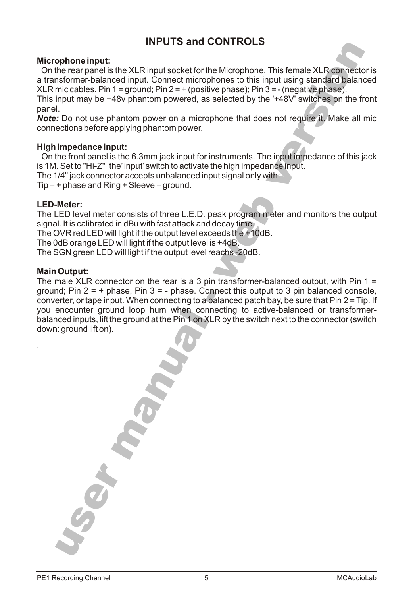# **INPUTS and CONTROLS**

### **Microphone input:**

**e** Microphone. This female XLR connector is<br>
nones to this input using standard balanced<br>
ve phase); Pin 3 = - (negative phase).<br>
selected by the '+48V' switches on the front<br>
selected by the '+48V' switches on the front<br> On the rear panel is the XLR input socket for the Microphone. This female XLR connector is a transformer-balanced input. Connect microphones to this input using standard balanced XLR mic cables. Pin  $1 =$  ground; Pin  $2 = +$  (positive phase); Pin  $3 = -$  (negative phase).

This input may be +48v phantom powered, as selected by the '+48V' switches on the front panel.

*Note:* Do not use phantom power on a microphone that does not require it. Make all mic connections before applying phantom power.

### **High impedance input:**

 On the front panel is the 6.3mm jack input for instruments. The input impedance of this jack is 1M. Set to "Hi-Z" the' input' switch to activate the high impedance input. The 1/4" jack connector accepts unbalanced input signal only with:

 $Tip = + phase$  and  $Ring + Sleeve = ground$ .

#### **LED-Meter:**

The LED level meter consists of three L.E.D. peak program meter and monitors the output signal. It is calibrated in dBu with fast attack and decay time.

The OVR red LED will light if the output level exceeds the +10dB.

The 0dB orange LED will light if the output level is +4dB.

The SGN green LED will light if the output level reachs -20dB.

#### **Main Output:**

·

**manual** ground; Pin z = + pnase, Pin *3* = - pnase. Connect this output to 3 pin balanced console,<br>converter, or tape input. When connecting to a balanced patch bay, be sure that Pin 2 = Tip. If you encounter ground loop hum when connecting to active-balanced or transformer-The male XLR connector on the rear is a 3 pin transformer-balanced output, with Pin  $1 =$ ground; Pin  $2 = +$  phase, Pin  $3 = -$  phase. Connect this output to 3 pin balanced console, balanced inputs, lift the ground at the Pin 1 on XLR by the switch next to the connector (switch down: ground lift on).

**user**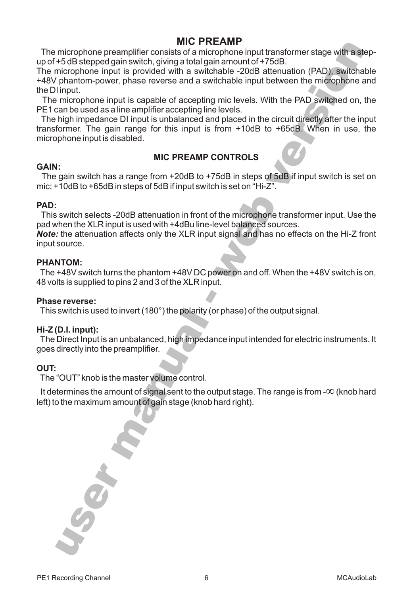## **MIC PREAMP**

The microphone preamplifier consists of a microphone input transformer stage with a stepup of +5 dB stepped gain switch, giving a total gain amount of +75dB.

The microphone input is provided with a switchable -20dB attenuation (PAD), switchable +48V phantom-power, phase reverse and a switchable input between the microphone and the DI input.

The microphone input is capable of accepting mic levels. With the PAD switched on, the PE1 can be used as a line amplifier accepting line levels.

**EAMP**<br>rophone input transformer stage with a step-<br>in amount of +75dB.<br>thable -20dB attenuation (PAD), switchable<br>itchable input between the microphone and<br>g mic levels. With the PAD switched on, the<br>elevels.<br>d placed in The high impedance DI input is unbalanced and placed in the circuit directly after the input transformer. The gain range for this input is from +10dB to +65dB. When in use, the microphone input is disabled.

### **MIC PREAMP CONTROLS**

### **GAIN:**

The gain switch has a range from +20dB to +75dB in steps of 5dB if input switch is set on mic; +10dB to +65dB in steps of 5dB if input switch is set on "Hi-Z".

### **PAD:**

This switch selects -20dB attenuation in front of the microphone transformer input. Use the pad when the XLR input is used with +4dBu line-level balanced sources.

*Note:* the attenuation affects only the XLR input signal and has no effects on the Hi-Z front input source.

### **PHANTOM:**

The +48V switch turns the phantom +48V DC power on and off. When the +48V switch is on, 48 volts is supplied to pins 2 and 3 of the XLR input.

**-**

#### **Phase reverse:**

This switch is used to invert (180°) the polarity (or phase) of the output signal.

### **Hi-Z (D.I. input):**

to invert (180°) the polarity (or<br>an unbalanced, high impedan<br>preamplifier.<br>the master volume control.<br>mount of signal sent to the our<br>amount of gain stage (knob h The Direct Input is an unbalanced, high impedance input intended for electric instruments. It goes directly into the preamplifier.

### **OUT:**

The "OUT" knob is the master volume control.

 It determines the amount of signal sent to the output stage. The range is from - (knob hard left) to the maximum amount of gain stage (knob hard right).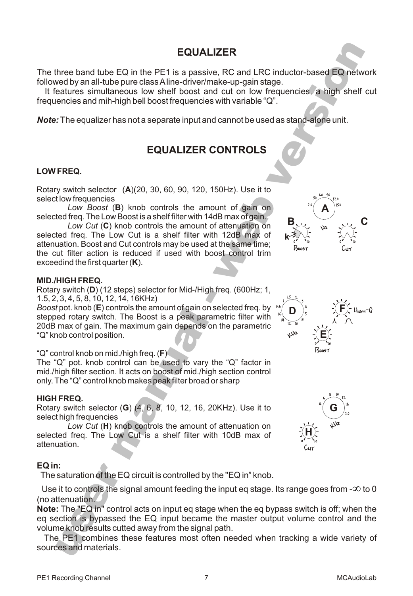## **EQUALIZER**

The three band tube EQ in the PE1 is a passive, RC and LRC inductor-based EQ network followed by an all-tube pure class A line-driver/make-up-gain stage.

 It features simultaneous low shelf boost and cut on low frequencies, a high shelf cut frequencies and mih-high bell boost frequencies with variable "Q".

*Note:* The equalizer has not a separate input and cannot be used as stand-alone unit.

# **EQUALIZER CONTROLS**

### **LOW FREQ.**

Rotary switch selector (**A**)(20, 30, 60, 90, 120, 150Hz). Use it to select low frequencies

*Low Boost* (**B**) knob controls the amount of gain on selected freq. The Low Boost is a shelf filter with 14dB max of gain.

*Low Cut* (**C**) knob controls the amount of attenuation on selected freq. The Low Cut is a shelf filter with 12dB max of attenuation. Boost and Cut controls may be used at the same time; the cut filter action is reduced if used with boost control trim exceedind the first quarter (**K**).

#### **MID./HIGH FREQ.**

**-**Rotary switch (**D**) (12 steps) selector for Mid-/High freq. (600Hz; 1, 1.5, 2, 3, 4, 5, 8, 10, 12, 14, 16KHz)

bituots the amount of gain on's<br>h. The Boost is a peak param<br>ne maximum gain depends on<br>ion.<br>id./high freq. (F)<br>ontrol can be used to vary th<br>n. It acts on boost of mid./high<br>knob makes peak filter broad or<br>or (G) (4, 6, 8 *Boost* pot. knob (**E**) controls the amount of gain on selected freq. by stepped rotary switch. The Boost is a peak parametric filter with 20dB max of gain. The maximum gain depends on the parametric "Q" knob control position.

### "Q" control knob on mid./high freq. (**F**)

The "Q" pot. knob control can be used to vary the "Q" factor in mid./high filter section. It acts on boost of mid./high section control only. The "Q" control knob makes peak filter broad or sharp

### **HIGH FREQ.**

Rotary switch selector (**G**) (4, 6, 8, 10, 12, 16, 20KHz). Use it to select high frequencies

*Low Cut* (**H**) knob controls the amount of attenuation on selected freq. The Low Cut is a shelf filter with 10dB max of attenuation.

### **EQ in:**

The saturation of the EQ circuit is controlled by the "EQ in" knob.

 Use it to controls the signal amount feeding the input eq stage. Its range goes from - to 0 (no attenuation.

**n:**<br>saturation of the EQ<br>e it to controls the signer<br>tenuation.<br>**u**: The "EQ in" contro<br>ection is bypassed the knob results cutte<br>e PE1 combines the<br>ces and materials. **Note:** The "EQ in" control acts on input eq stage when the eq bypass switch is off; when the eq section is bypassed the EQ input became the master output volume control and the volume knob results cutted away from the signal path.

The PE1 combines these features most often needed when tracking a wide variety of sources and materials.





**E**

**D**

 $1\lambda$ 

High-Q

**F**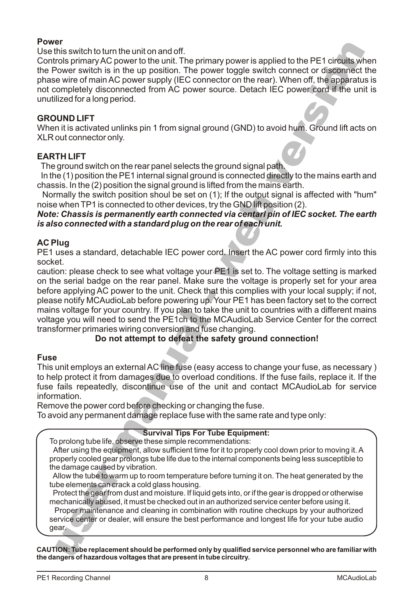### **Power**

Use this switch to turn the unit on and off.

ary power is applied to the PE1 circuits when<br>wer toggle switch connect or disconnect the<br>ector on the rear). When off, the apparatus is<br>ource. Detach IEC power cord if the unit is<br>ource. Detach IEC power cord if the unit Controls primary AC power to the unit. The primary power is applied to the PE1 circuits when the Power switch is in the up position. The power toggle switch connect or disconnect the phase wire of main AC power supply (IEC connector on the rear). When off, the apparatus is not completely disconnected from AC power source. Detach IEC power cord if the unit is unutilized for a long period.

### **GROUND LIFT**

When it is activated unlinks pin 1 from signal ground (GND) to avoid hum. Ground lift acts on XLR out connector only.

### **EARTH LIFT**

The ground switch on the rear panel selects the ground signal path.

 In the (1) position the PE1 internal signal ground is connected directly to the mains earth and chassis. In the (2) position the signal ground is lifted from the mains earth.

 Normally the switch position shoul be set on (1); If the output signal is affected with "hum" noise when TP1 is connected to other devices, try the GND lift position (2).

*Note: Chassis is permanently earth connected via centarl pin of IEC socket. The earth is also connected with a standard plug on the rear of each unit.*

### **AC Plug**

PE1 uses a standard, detachable IEC power cord. Insert the AC power cord firmly into this socket.

perore applying AC power to the unit. Check that this complies with your local supply; if not,<br>please notify MCAudioLab before powering up. Your PE1 has been factory set to the correct mains voltage for your country. If you plan to take the unit to countries with a different mains caution: please check to see what voltage your PE1 is set to. The voltage setting is marked on the serial badge on the rear panel. Make sure the voltage is properly set for your area before applying AC power to the unit. Check that this complies with your local supply; if not, voltage you will need to send the PE1ch to the MCAudioLab Service Center for the correct transformer primaries wiring conversion and fuse changing.

### **Do not attempt to defeat the safety ground connection!**

### **Fuse**

our country. If you plan to take<br>d to send the PE1ch to the N<br>as wiring conversion and fuse<br>**not attempt to defeat the same of attempt to defeat the same**<br>in external AC line fuse (easy m<br>damages due to overload<br>ly, discon This unit employs an external AC line fuse (easy access to change your fuse, as necessary ) to help protect it from damages due to overload conditions. If the fuse fails, replace it. If the fuse fails repeatedly, discontinue use of the unit and contact MCAudioLab for service information.

Remove the power cord before checking or changing the fuse.

To avoid any permanent damage replace fuse with the same rate and type only:

### **Survival Tips For Tube Equipment:**

To prolong tube life, observe these simple recommendations: After using the equipment, allow sufficient time for it to properly cool down prior to moving it. A properly cooled gear prolongs tube life due to the internal components being less susceptible to the damage caused by vibration.

Allow the tube to warm up to room temperature before turning it on. The heat generated by the tube elements can crack a cold glass housing.

 Protect the gear from dust and moisture. If liquid gets into, or if the gear is dropped or otherwise mechanically abused, it must be checked out in an authorized service center before using it.

**userally** dependence and the dependence of the dependence of the elements can crack<br>Protect the gear from due<br>chanically abused, it is proper maintenance a<br>protect the gear from due<br>the protect of dealer,<br>and the replacem Proper maintenance and cleaning in combination with routine checkups by your authorized service center or dealer, will ensure the best performance and longest life for your tube audio gear.

**CAUTION: Tube replacement should be performed only by qualified service personnel who are familiar with the dangers of hazardous voltages that are present in tube circuitry.**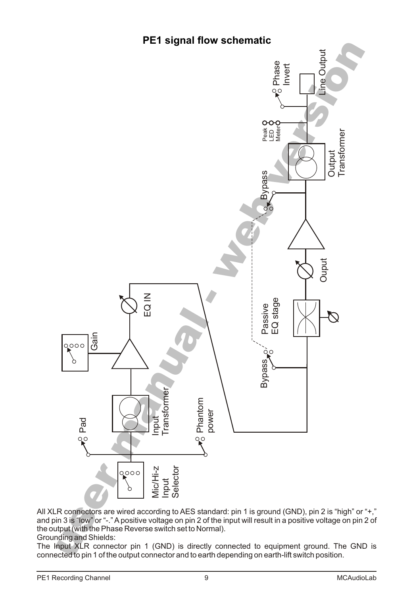# **PE1 signal flow schematic**



All XLR connectors are wired according to AES standard: pin 1 is ground (GND), pin 2 is "high" or "+," and pin 3 is "low" or "-." A positive voltage on pin 2 of the input will result in a positive voltage on pin 2 of the output (with the Phase Reverse switch set to Normal).

Grounding and Shields:

The Input XLR connector pin 1 (GND) is directly connected to equipment ground. The GND is connected to pin 1 of the output connector and to earth depending on earth-lift switch position.